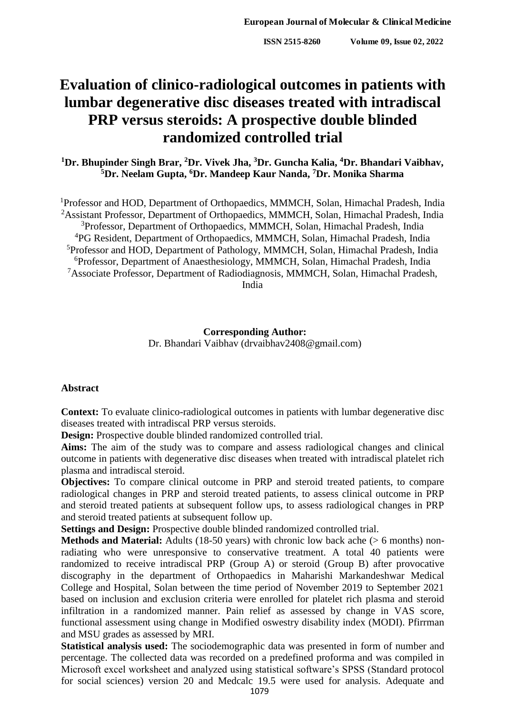# **Evaluation of clinico-radiological outcomes in patients with lumbar degenerative disc diseases treated with intradiscal PRP versus steroids: A prospective double blinded randomized controlled trial**

**<sup>1</sup>Dr. Bhupinder Singh Brar, <sup>2</sup>Dr. Vivek Jha, <sup>3</sup>Dr. Guncha Kalia, <sup>4</sup>Dr. Bhandari Vaibhav, <sup>5</sup>Dr. Neelam Gupta, <sup>6</sup>Dr. Mandeep Kaur Nanda, <sup>7</sup>Dr. Monika Sharma**

<sup>1</sup>Professor and HOD, Department of Orthopaedics, MMMCH, Solan, Himachal Pradesh, India <sup>2</sup>Assistant Professor, Department of Orthopaedics, MMMCH, Solan, Himachal Pradesh, India Professor, Department of Orthopaedics, MMMCH, Solan, Himachal Pradesh, India PG Resident, Department of Orthopaedics, MMMCH, Solan, Himachal Pradesh, India Professor and HOD, Department of Pathology, MMMCH, Solan, Himachal Pradesh, India Professor, Department of Anaesthesiology, MMMCH, Solan, Himachal Pradesh, India Associate Professor, Department of Radiodiagnosis, MMMCH, Solan, Himachal Pradesh, India

# **Corresponding Author:**

Dr. Bhandari Vaibhav (drvaibhav2408@gmail.com)

# **Abstract**

**Context:** To evaluate clinico-radiological outcomes in patients with lumbar degenerative disc diseases treated with intradiscal PRP versus steroids.

**Design:** Prospective double blinded randomized controlled trial.

**Aims:** The aim of the study was to compare and assess radiological changes and clinical outcome in patients with degenerative disc diseases when treated with intradiscal platelet rich plasma and intradiscal steroid.

**Objectives:** To compare clinical outcome in PRP and steroid treated patients, to compare radiological changes in PRP and steroid treated patients, to assess clinical outcome in PRP and steroid treated patients at subsequent follow ups, to assess radiological changes in PRP and steroid treated patients at subsequent follow up.

**Settings and Design:** Prospective double blinded randomized controlled trial.

**Methods and Material:** Adults (18-50 years) with chronic low back ache (> 6 months) nonradiating who were unresponsive to conservative treatment. A total 40 patients were randomized to receive intradiscal PRP (Group A) or steroid (Group B) after provocative discography in the department of Orthopaedics in Maharishi Markandeshwar Medical College and Hospital, Solan between the time period of November 2019 to September 2021 based on inclusion and exclusion criteria were enrolled for platelet rich plasma and steroid infiltration in a randomized manner. Pain relief as assessed by change in VAS score, functional assessment using change in Modified oswestry disability index (MODI). Pfirrman and MSU grades as assessed by MRI.

**Statistical analysis used:** The sociodemographic data was presented in form of number and percentage. The collected data was recorded on a predefined proforma and was compiled in Microsoft excel worksheet and analyzed using statistical software's SPSS (Standard protocol for social sciences) version 20 and Medcalc 19.5 were used for analysis. Adequate and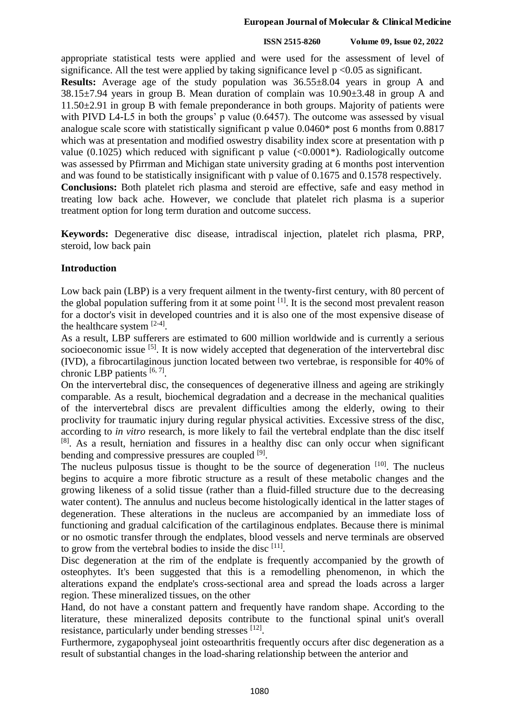#### **European Journal of Molecular & Clinical Medicine**

#### **ISSN 2515-8260 Volume 09, Issue 02, 2022**

appropriate statistical tests were applied and were used for the assessment of level of significance. All the test were applied by taking significance level  $p < 0.05$  as significant.

**Results:** Average age of the study population was 36.55±8.04 years in group A and 38.15±7.94 years in group B. Mean duration of complain was 10.90±3.48 in group A and 11.50±2.91 in group B with female preponderance in both groups. Majority of patients were with PIVD L4-L5 in both the groups' p value (0.6457). The outcome was assessed by visual analogue scale score with statistically significant p value 0.0460\* post 6 months from 0.8817 which was at presentation and modified oswestry disability index score at presentation with p value (0.1025) which reduced with significant p value  $\langle 0.0001^* \rangle$ . Radiologically outcome was assessed by Pfirrman and Michigan state university grading at 6 months post intervention and was found to be statistically insignificant with p value of 0.1675 and 0.1578 respectively. **Conclusions:** Both platelet rich plasma and steroid are effective, safe and easy method in treating low back ache. However, we conclude that platelet rich plasma is a superior treatment option for long term duration and outcome success.

**Keywords:** Degenerative disc disease, intradiscal injection, platelet rich plasma, PRP, steroid, low back pain

# **Introduction**

Low back pain (LBP) is a very frequent ailment in the twenty-first century, with 80 percent of the global population suffering from it at some point  $\left[1\right]$ . It is the second most prevalent reason for a doctor's visit in developed countries and it is also one of the most expensive disease of the healthcare system  $[2-4]$ .

As a result, LBP sufferers are estimated to 600 million worldwide and is currently a serious socioeconomic issue <sup>[5]</sup>. It is now widely accepted that degeneration of the intervertebral disc (IVD), a fibrocartilaginous junction located between two vertebrae, is responsible for 40% of chronic LBP patients [6, 7].

On the intervertebral disc, the consequences of degenerative illness and ageing are strikingly comparable. As a result, biochemical degradation and a decrease in the mechanical qualities of the intervertebral discs are prevalent difficulties among the elderly, owing to their proclivity for traumatic injury during regular physical activities. Excessive stress of the disc, according to *in vitro* research, is more likely to fail the vertebral endplate than the disc itself [8]. As a result, herniation and fissures in a healthy disc can only occur when significant bending and compressive pressures are coupled [9].

The nucleus pulposus tissue is thought to be the source of degeneration  $[10]$ . The nucleus begins to acquire a more fibrotic structure as a result of these metabolic changes and the growing likeness of a solid tissue (rather than a fluid-filled structure due to the decreasing water content). The annulus and nucleus become histologically identical in the latter stages of degeneration. These alterations in the nucleus are accompanied by an immediate loss of functioning and gradual calcification of the cartilaginous endplates. Because there is minimal or no osmotic transfer through the endplates, blood vessels and nerve terminals are observed to grow from the vertebral bodies to inside the disc [11].

Disc degeneration at the rim of the endplate is frequently accompanied by the growth of osteophytes. It's been suggested that this is a remodelling phenomenon, in which the alterations expand the endplate's cross-sectional area and spread the loads across a larger region. These mineralized tissues, on the other

Hand, do not have a constant pattern and frequently have random shape. According to the literature, these mineralized deposits contribute to the functional spinal unit's overall resistance, particularly under bending stresses [12].

Furthermore, zygapophyseal joint osteoarthritis frequently occurs after disc degeneration as a result of substantial changes in the load-sharing relationship between the anterior and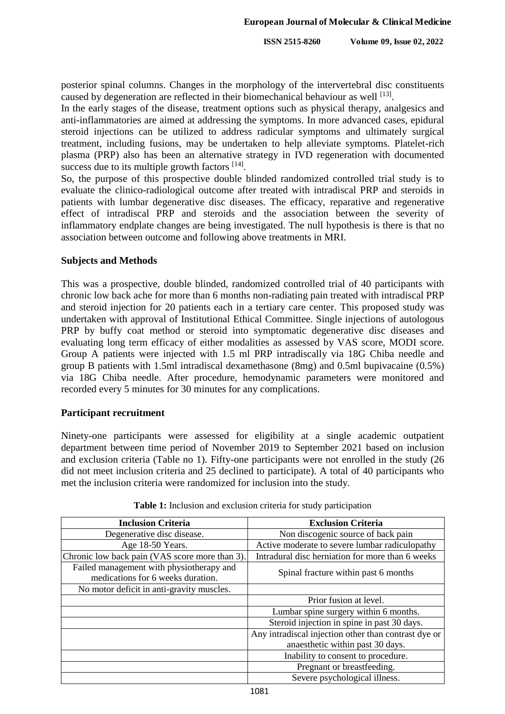posterior spinal columns. Changes in the morphology of the intervertebral disc constituents caused by degeneration are reflected in their biomechanical behaviour as well [13].

In the early stages of the disease, treatment options such as physical therapy, analgesics and anti-inflammatories are aimed at addressing the symptoms. In more advanced cases, epidural steroid injections can be utilized to address radicular symptoms and ultimately surgical treatment, including fusions, may be undertaken to help alleviate symptoms. Platelet-rich plasma (PRP) also has been an alternative strategy in IVD regeneration with documented success due to its multiple growth factors [14].

So, the purpose of this prospective double blinded randomized controlled trial study is to evaluate the clinico-radiological outcome after treated with intradiscal PRP and steroids in patients with lumbar degenerative disc diseases. The efficacy, reparative and regenerative effect of intradiscal PRP and steroids and the association between the severity of inflammatory endplate changes are being investigated. The null hypothesis is there is that no association between outcome and following above treatments in MRI.

#### **Subjects and Methods**

This was a prospective, double blinded, randomized controlled trial of 40 participants with chronic low back ache for more than 6 months non-radiating pain treated with intradiscal PRP and steroid injection for 20 patients each in a tertiary care center. This proposed study was undertaken with approval of Institutional Ethical Committee. Single injections of autologous PRP by buffy coat method or steroid into symptomatic degenerative disc diseases and evaluating long term efficacy of either modalities as assessed by VAS score, MODI score. Group A patients were injected with 1.5 ml PRP intradiscally via 18G Chiba needle and group B patients with 1.5ml intradiscal dexamethasone (8mg) and 0.5ml bupivacaine (0.5%) via 18G Chiba needle. After procedure, hemodynamic parameters were monitored and recorded every 5 minutes for 30 minutes for any complications.

#### **Participant recruitment**

Ninety-one participants were assessed for eligibility at a single academic outpatient department between time period of November 2019 to September 2021 based on inclusion and exclusion criteria (Table no 1). Fifty-one participants were not enrolled in the study (26 did not meet inclusion criteria and 25 declined to participate). A total of 40 participants who met the inclusion criteria were randomized for inclusion into the study.

| <b>Inclusion Criteria</b>                                                     | <b>Exclusion Criteria</b>                            |
|-------------------------------------------------------------------------------|------------------------------------------------------|
| Degenerative disc disease.                                                    | Non discogenic source of back pain                   |
| Age 18-50 Years.                                                              | Active moderate to severe lumbar radiculopathy       |
| Chronic low back pain (VAS score more than 3).                                | Intradural disc herniation for more than 6 weeks     |
| Failed management with physiotherapy and<br>medications for 6 weeks duration. | Spinal fracture within past 6 months                 |
| No motor deficit in anti-gravity muscles.                                     |                                                      |
|                                                                               | Prior fusion at level.                               |
|                                                                               | Lumbar spine surgery within 6 months.                |
|                                                                               | Steroid injection in spine in past 30 days.          |
|                                                                               | Any intradiscal injection other than contrast dye or |
|                                                                               | anaesthetic within past 30 days.                     |
|                                                                               | Inability to consent to procedure.                   |
|                                                                               | Pregnant or breastfeeding.                           |
|                                                                               | Severe psychological illness.                        |

**Table 1:** Inclusion and exclusion criteria for study participation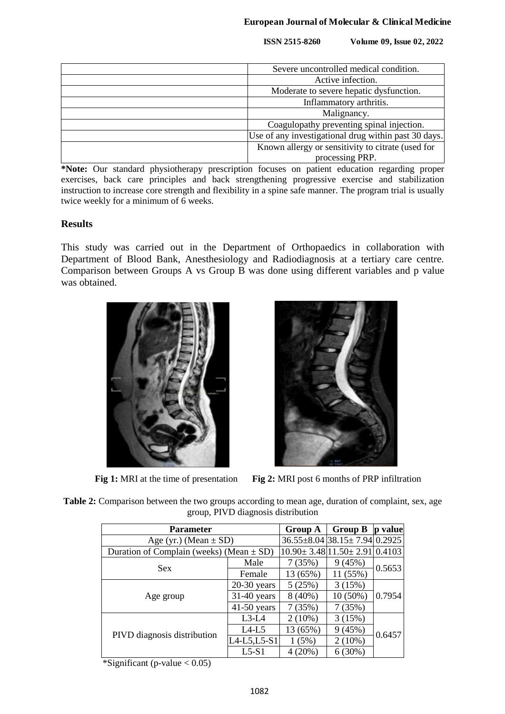| Severe uncontrolled medical condition.               |  |  |  |
|------------------------------------------------------|--|--|--|
| Active infection.                                    |  |  |  |
| Moderate to severe hepatic dysfunction.              |  |  |  |
| Inflammatory arthritis.                              |  |  |  |
| Malignancy.                                          |  |  |  |
| Coagulopathy preventing spinal injection.            |  |  |  |
| Use of any investigational drug within past 30 days. |  |  |  |
| Known allergy or sensitivity to citrate (used for    |  |  |  |
| processing PRP.                                      |  |  |  |

**\*Note:** Our standard physiotherapy prescription focuses on patient education regarding proper exercises, back care principles and back strengthening progressive exercise and stabilization instruction to increase core strength and flexibility in a spine safe manner. The program trial is usually twice weekly for a minimum of 6 weeks.

# **Results**

This study was carried out in the Department of Orthopaedics in collaboration with Department of Blood Bank, Anesthesiology and Radiodiagnosis at a tertiary care centre. Comparison between Groups A vs Group B was done using different variables and p value was obtained.





**Fig 1:** MRI at the time of presentation **Fig 2:** MRI post 6 months of PRP infiltration

| <b>Table 2:</b> Comparison between the two groups according to mean age, duration of complaint, sex, age |  |                                    |  |  |  |  |
|----------------------------------------------------------------------------------------------------------|--|------------------------------------|--|--|--|--|
|                                                                                                          |  | group, PIVD diagnosis distribution |  |  |  |  |

| <b>Parameter</b>                             | <b>Group A</b> | <b>Group B</b>                       | p value                                          |        |  |
|----------------------------------------------|----------------|--------------------------------------|--------------------------------------------------|--------|--|
| Age (yr.) (Mean $\pm$ SD)                    |                | $36.55\pm8.04$ $38.15\pm7.94$ 0.2925 |                                                  |        |  |
| Duration of Complain (weeks) (Mean $\pm$ SD) |                |                                      | $10.90 \pm 3.48 \mid 11.50 \pm 2.91 \mid 0.4103$ |        |  |
| <b>Sex</b>                                   | Male           | 7(35%)                               | 9(45%)                                           |        |  |
|                                              | Female         | 13 (65%)                             | 11 (55%)                                         | 0.5653 |  |
|                                              | $20-30$ years  | 5(25%)                               | 3(15%)                                           |        |  |
| Age group                                    | $31-40$ years  | $8(40\%)$                            | $10(50\%)$                                       | 0.7954 |  |
|                                              | $41-50$ years  | 7(35%)                               | 7(35%)                                           |        |  |
|                                              | $L3-L4$        | $2(10\%)$                            | 3(15%)                                           |        |  |
| PIVD diagnosis distribution                  | $L4-L5$        | 13 (65%)                             | 9(45%)                                           | 0.6457 |  |
|                                              | L4-L5,L5-S1    | 1(5%)                                | $2(10\%)$                                        |        |  |
|                                              | $L5-S1$        | 4(20%)                               | 6(30%)                                           |        |  |

 $*$ Significant (p-value < 0.05)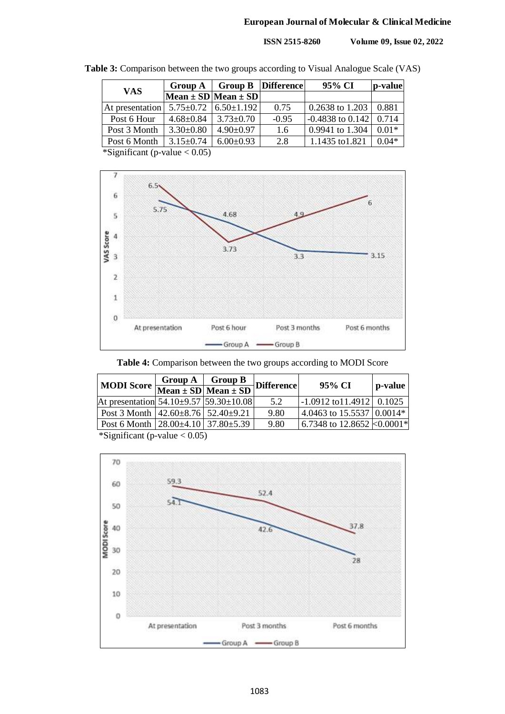## **European Journal of Molecular & Clinical Medicine**

**ISSN 2515-8260 Volume 09, Issue 02, 2022**

| <b>Group A</b>  |                 |               | 95% CI                                                      | p-value                                           |  |
|-----------------|-----------------|---------------|-------------------------------------------------------------|---------------------------------------------------|--|
|                 |                 |               |                                                             |                                                   |  |
| At presentation |                 | 0.75          | 0.2638 to 1.203                                             | 0.881                                             |  |
| $4.68 \pm 0.84$ | $3.73 \pm 0.70$ | $-0.95$       |                                                             | 0.714                                             |  |
| $3.30\pm0.80$   | $4.90 \pm 0.97$ | $1.6^{\circ}$ | 0.9941 to 1.304                                             | $0.01*$                                           |  |
| $3.15 \pm 0.74$ | $6.00 \pm 0.93$ | 2.8           | 1.1435 to 1.821                                             | $0.04*$                                           |  |
|                 |                 |               | Mean $\pm$ SD Mean $\pm$ SD<br>$5.75\pm0.72$ $6.50\pm1.192$ | <b>Group B</b> Difference<br>$-0.4838$ to $0.142$ |  |

**Table 3:** Comparison between the two groups according to Visual Analogue Scale (VAS)

\*Significant (p-value < 0.05)



**Table 4:** Comparison between the two groups according to MODI Score

| <b>MODI</b> Score                                           |  | Group $A \mid$ Group $B$          | <b>Difference</b> | 95% CI                                             | p-value |  |  |  |  |
|-------------------------------------------------------------|--|-----------------------------------|-------------------|----------------------------------------------------|---------|--|--|--|--|
|                                                             |  | Mean $\pm$ SD Mean $\pm$ SD $\pm$ |                   |                                                    |         |  |  |  |  |
| At presentation $54.10\pm9.57$ $59.30\pm10.08$              |  |                                   | 5.2               | $\left  -1.0912 \text{ to} 11.4912 \right  0.1025$ |         |  |  |  |  |
| Post 3 Month $ 42.60 \pm 8.76 $ 52.40 $\pm 9.21$            |  |                                   | 9.80              | $ 4.0463 \text{ to } 15.5537   0.0014*$            |         |  |  |  |  |
| Post 6 Month $\left  28.00 \pm 4.10 \right  37.80 \pm 5.39$ |  |                                   | 9.80              | 6.7348 to 12.8652 $\&$ 0.0001*                     |         |  |  |  |  |
| *Significant (p-value $< 0.05$ )                            |  |                                   |                   |                                                    |         |  |  |  |  |

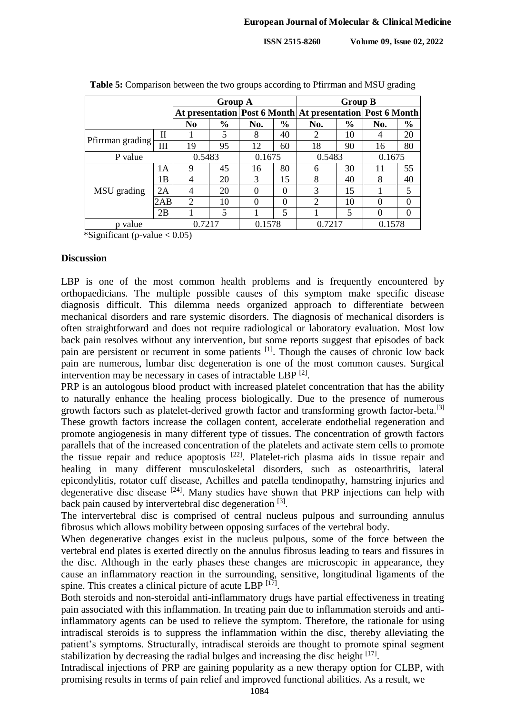|                 |     | <b>Group A</b>                                                  |               |          |               | <b>Group B</b> |               |                |               |  |
|-----------------|-----|-----------------------------------------------------------------|---------------|----------|---------------|----------------|---------------|----------------|---------------|--|
|                 |     | At presentation   Post 6 Month   At presentation   Post 6 Month |               |          |               |                |               |                |               |  |
|                 |     | N <sub>0</sub>                                                  | $\frac{6}{6}$ | No.      | $\frac{6}{6}$ | No.            | $\frac{6}{6}$ | No.            | $\frac{6}{6}$ |  |
|                 | Π   |                                                                 | 5             | 8        | 40            | 2              | 10            | $\overline{4}$ | 20            |  |
| Pfirman grading | III | 19                                                              | 95            | 12       | 60            | 18             | 90            | 16             | 80            |  |
| P value         |     | 0.5483                                                          |               | 0.1675   |               | 0.5483         |               | 0.1675         |               |  |
| MSU grading     | 1A  | 9                                                               | 45            | 16       | 80            | 6              | 30            | 11             | 55            |  |
|                 | 1B  | 4                                                               | 20            | 3        | 15            | 8              | 40            | 8              | 40            |  |
|                 | 2A  | 4                                                               | 20            | $\theta$ | $\theta$      | 3              | 15            |                | 5             |  |
|                 | 2AB | 2                                                               | 10            | 0        | 0             | $\overline{2}$ | 10            | $\Omega$       | $\theta$      |  |
|                 | 2B  |                                                                 | 5             |          | 5             |                | 5             | $\Omega$       | $\theta$      |  |
| p value         |     | 0.7217                                                          |               | 0.1578   |               | 0.7217         |               | 0.1578         |               |  |

**Table 5:** Comparison between the two groups according to Pfirrman and MSU grading

\*Significant (p-value  $< 0.05$ )

#### **Discussion**

LBP is one of the most common health problems and is frequently encountered by orthopaedicians. The multiple possible causes of this symptom make specific disease diagnosis difficult. This dilemma needs organized approach to differentiate between mechanical disorders and rare systemic disorders. The diagnosis of mechanical disorders is often straightforward and does not require radiological or laboratory evaluation. Most low back pain resolves without any intervention, but some reports suggest that episodes of back pain are persistent or recurrent in some patients <sup>[1]</sup>. Though the causes of chronic low back pain are numerous, lumbar disc degeneration is one of the most common causes. Surgical intervention may be necessary in cases of intractable LBP<sup>[2]</sup>.

PRP is an autologous blood product with increased platelet concentration that has the ability to naturally enhance the healing process biologically. Due to the presence of numerous growth factors such as platelet-derived growth factor and transforming growth factor-beta.<sup>[3]</sup> These growth factors increase the collagen content, accelerate endothelial regeneration and promote angiogenesis in many different type of tissues. The concentration of growth factors parallels that of the increased concentration of the platelets and activate stem cells to promote the tissue repair and reduce apoptosis  $[22]$ . Platelet-rich plasma aids in tissue repair and healing in many different musculoskeletal disorders, such as osteoarthritis, lateral epicondylitis, rotator cuff disease, Achilles and patella tendinopathy, hamstring injuries and degenerative disc disease  $[24]$ . Many studies have shown that PRP injections can help with back pain caused by intervertebral disc degeneration [3].

The intervertebral disc is comprised of central nucleus pulpous and surrounding annulus fibrosus which allows mobility between opposing surfaces of the vertebral body.

When degenerative changes exist in the nucleus pulpous, some of the force between the vertebral end plates is exerted directly on the annulus fibrosus leading to tears and fissures in the disc. Although in the early phases these changes are microscopic in appearance, they cause an inflammatory reaction in the surrounding, sensitive, longitudinal ligaments of the spine. This creates a clinical picture of acute LBP  $^{[17]}$ .

Both steroids and non-steroidal anti-inflammatory drugs have partial effectiveness in treating pain associated with this inflammation. In treating pain due to inflammation steroids and antiinflammatory agents can be used to relieve the symptom. Therefore, the rationale for using intradiscal steroids is to suppress the inflammation within the disc, thereby alleviating the patient's symptoms. Structurally, intradiscal steroids are thought to promote spinal segment stabilization by decreasing the radial bulges and increasing the disc height  $[17]$ .

Intradiscal injections of PRP are gaining popularity as a new therapy option for CLBP, with promising results in terms of pain relief and improved functional abilities. As a result, we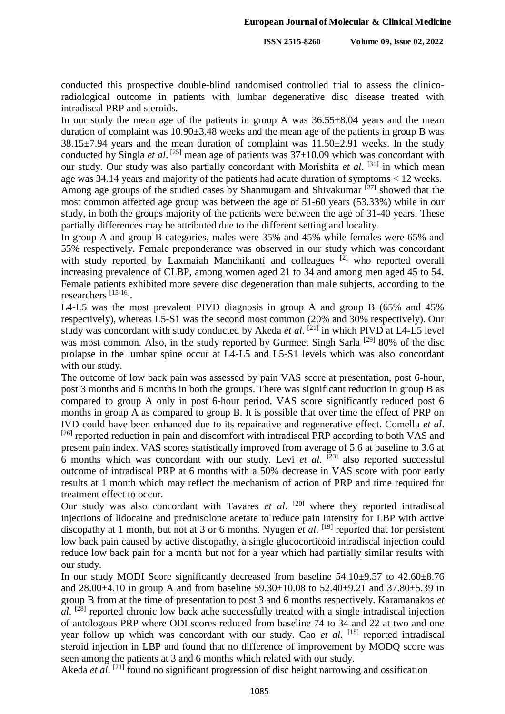conducted this prospective double-blind randomised controlled trial to assess the clinicoradiological outcome in patients with lumbar degenerative disc disease treated with intradiscal PRP and steroids.

In our study the mean age of the patients in group A was  $36.55\pm8.04$  years and the mean duration of complaint was 10.90±3.48 weeks and the mean age of the patients in group B was  $38.15\pm7.94$  years and the mean duration of complaint was  $11.50\pm2.91$  weeks. In the study conducted by Singla *et al*. [25] mean age of patients was 37±10.09 which was concordant with our study. Our study was also partially concordant with Morishita *et al*. [31] in which mean age was 34.14 years and majority of the patients had acute duration of symptoms < 12 weeks.

Among age groups of the studied cases by Shanmugam and Shivakumar [27] showed that the most common affected age group was between the age of 51-60 years (53.33%) while in our study, in both the groups majority of the patients were between the age of 31-40 years. These partially differences may be attributed due to the different setting and locality.

In group A and group B categories, males were 35% and 45% while females were 65% and 55% respectively. Female preponderance was observed in our study which was concordant with study reported by Laxmaiah Manchikanti and colleagues <sup>[2]</sup> who reported overall increasing prevalence of CLBP, among women aged 21 to 34 and among men aged 45 to 54. Female patients exhibited more severe disc degeneration than male subjects, according to the researchers [15-16] .

L4-L5 was the most prevalent PIVD diagnosis in group A and group B (65% and 45% respectively), whereas L5-S1 was the second most common (20% and 30% respectively). Our study was concordant with study conducted by Akeda *et al*. [21] in which PIVD at L4-L5 level was most common. Also, in the study reported by Gurmeet Singh Sarla <sup>[29]</sup> 80% of the disc prolapse in the lumbar spine occur at L4-L5 and L5-S1 levels which was also concordant with our study.

The outcome of low back pain was assessed by pain VAS score at presentation, post 6-hour, post 3 months and 6 months in both the groups. There was significant reduction in group B as compared to group A only in post 6-hour period. VAS score significantly reduced post 6 months in group A as compared to group B. It is possible that over time the effect of PRP on IVD could have been enhanced due to its repairative and regenerative effect. Comella *et al*.  $^{[26]}$  reported reduction in pain and discomfort with intradiscal PRP according to both VAS and present pain index. VAS scores statistically improved from average of 5.6 at baseline to 3.6 at 6 months which was concordant with our study. Levi *et al*. [23] also reported successful outcome of intradiscal PRP at 6 months with a 50% decrease in VAS score with poor early results at 1 month which may reflect the mechanism of action of PRP and time required for treatment effect to occur.

Our study was also concordant with Tavares *et al.* [20] where they reported intradiscal injections of lidocaine and prednisolone acetate to reduce pain intensity for LBP with active discopathy at 1 month, but not at 3 or 6 months. Nyugen *et al*. [19] reported that for persistent low back pain caused by active discopathy, a single glucocorticoid intradiscal injection could reduce low back pain for a month but not for a year which had partially similar results with our study.

In our study MODI Score significantly decreased from baseline 54.10±9.57 to 42.60±8.76 and 28.00±4.10 in group A and from baseline 59.30±10.08 to 52.40±9.21 and 37.80±5.39 in group B from at the time of presentation to post 3 and 6 months respectively. Karamanakos *et al*. [28] reported chronic low back ache successfully treated with a single intradiscal injection of autologous PRP where ODI scores reduced from baseline 74 to 34 and 22 at two and one year follow up which was concordant with our study. Cao *et al*. [18] reported intradiscal steroid injection in LBP and found that no difference of improvement by MODQ score was seen among the patients at 3 and 6 months which related with our study.

Akeda *et al.* <sup>[21]</sup> found no significant progression of disc height narrowing and ossification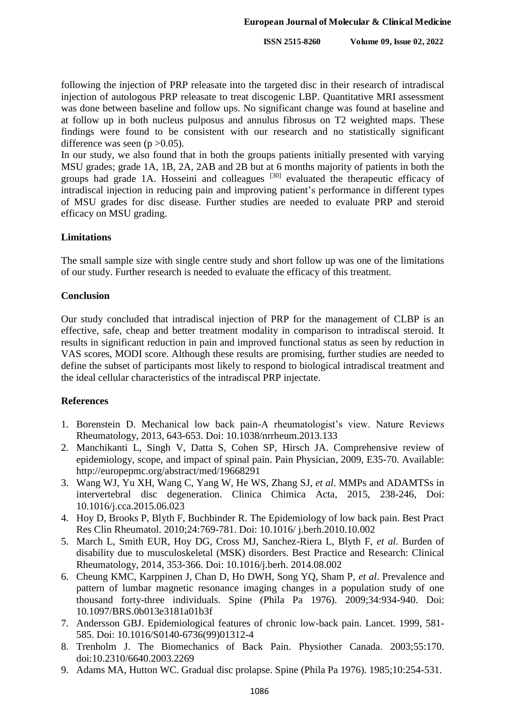following the injection of PRP releasate into the targeted disc in their research of intradiscal injection of autologous PRP releasate to treat discogenic LBP. Quantitative MRI assessment was done between baseline and follow ups. No significant change was found at baseline and at follow up in both nucleus pulposus and annulus fibrosus on T2 weighted maps. These findings were found to be consistent with our research and no statistically significant difference was seen  $(p > 0.05)$ .

In our study, we also found that in both the groups patients initially presented with varying MSU grades; grade 1A, 1B, 2A, 2AB and 2B but at 6 months majority of patients in both the groups had grade 1A. Hosseini and colleagues <sup>[30]</sup> evaluated the therapeutic efficacy of intradiscal injection in reducing pain and improving patient's performance in different types of MSU grades for disc disease. Further studies are needed to evaluate PRP and steroid efficacy on MSU grading.

# **Limitations**

The small sample size with single centre study and short follow up was one of the limitations of our study. Further research is needed to evaluate the efficacy of this treatment.

# **Conclusion**

Our study concluded that intradiscal injection of PRP for the management of CLBP is an effective, safe, cheap and better treatment modality in comparison to intradiscal steroid. It results in significant reduction in pain and improved functional status as seen by reduction in VAS scores, MODI score. Although these results are promising, further studies are needed to define the subset of participants most likely to respond to biological intradiscal treatment and the ideal cellular characteristics of the intradiscal PRP injectate.

# **References**

- 1. Borenstein D. Mechanical low back pain-A rheumatologist's view. Nature Reviews Rheumatology, 2013, 643-653. Doi: 10.1038/nrrheum.2013.133
- 2. Manchikanti L, Singh V, Datta S, Cohen SP, Hirsch JA. Comprehensive review of epidemiology, scope, and impact of spinal pain. Pain Physician, 2009, E35-70. Available: http://europepmc.org/abstract/med/19668291
- 3. Wang WJ, Yu XH, Wang C, Yang W, He WS, Zhang SJ, *et al*. MMPs and ADAMTSs in intervertebral disc degeneration. Clinica Chimica Acta, 2015, 238-246, Doi: 10.1016/j.cca.2015.06.023
- 4. Hoy D, Brooks P, Blyth F, Buchbinder R. The Epidemiology of low back pain. Best Pract Res Clin Rheumatol. 2010;24:769-781. Doi: 10.1016/ j.berh.2010.10.002
- 5. March L, Smith EUR, Hoy DG, Cross MJ, Sanchez-Riera L, Blyth F, *et al*. Burden of disability due to musculoskeletal (MSK) disorders. Best Practice and Research: Clinical Rheumatology, 2014, 353-366. Doi: 10.1016/j.berh. 2014.08.002
- 6. Cheung KMC, Karppinen J, Chan D, Ho DWH, Song YQ, Sham P, *et al*. Prevalence and pattern of lumbar magnetic resonance imaging changes in a population study of one thousand forty-three individuals. Spine (Phila Pa 1976). 2009;34:934-940. Doi: 10.1097/BRS.0b013e3181a01b3f
- 7. Andersson GBJ. Epidemiological features of chronic low-back pain. Lancet. 1999, 581- 585. Doi: 10.1016/S0140-6736(99)01312-4
- 8. Trenholm J. The Biomechanics of Back Pain. Physiother Canada. 2003;55:170. doi:10.2310/6640.2003.2269
- 9. Adams MA, Hutton WC. Gradual disc prolapse. Spine (Phila Pa 1976). 1985;10:254-531.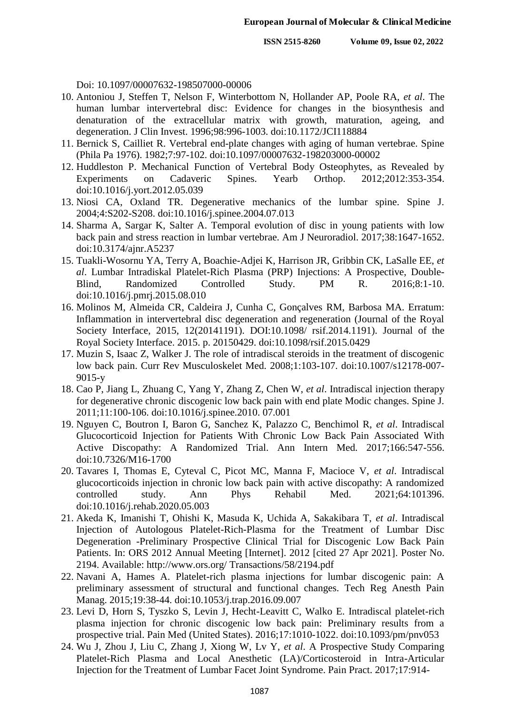Doi: 10.1097/00007632-198507000-00006

- 10. Antoniou J, Steffen T, Nelson F, Winterbottom N, Hollander AP, Poole RA, *et al*. The human lumbar intervertebral disc: Evidence for changes in the biosynthesis and denaturation of the extracellular matrix with growth, maturation, ageing, and degeneration. J Clin Invest. 1996;98:996-1003. doi:10.1172/JCI118884
- 11. Bernick S, Cailliet R. Vertebral end-plate changes with aging of human vertebrae. Spine (Phila Pa 1976). 1982;7:97-102. doi:10.1097/00007632-198203000-00002
- 12. Huddleston P. Mechanical Function of Vertebral Body Osteophytes, as Revealed by Experiments on Cadaveric Spines. Yearb Orthop. 2012;2012:353-354. doi:10.1016/j.yort.2012.05.039
- 13. Niosi CA, Oxland TR. Degenerative mechanics of the lumbar spine. Spine J. 2004;4:S202-S208. doi:10.1016/j.spinee.2004.07.013
- 14. Sharma A, Sargar K, Salter A. Temporal evolution of disc in young patients with low back pain and stress reaction in lumbar vertebrae. Am J Neuroradiol. 2017;38:1647-1652. doi:10.3174/ajnr.A5237
- 15. Tuakli-Wosornu YA, Terry A, Boachie-Adjei K, Harrison JR, Gribbin CK, LaSalle EE, *et al*. Lumbar Intradiskal Platelet-Rich Plasma (PRP) Injections: A Prospective, Double-Blind, Randomized Controlled Study. PM R. 2016;8:1-10. doi:10.1016/j.pmrj.2015.08.010
- 16. Molinos M, Almeida CR, Caldeira J, Cunha C, Gonçalves RM, Barbosa MA. Erratum: Inflammation in intervertebral disc degeneration and regeneration (Journal of the Royal Society Interface, 2015, 12(20141191). DOI:10.1098/ rsif.2014.1191). Journal of the Royal Society Interface. 2015. p. 20150429. doi:10.1098/rsif.2015.0429
- 17. Muzin S, Isaac Z, Walker J. The role of intradiscal steroids in the treatment of discogenic low back pain. Curr Rev Musculoskelet Med. 2008;1:103-107. doi:10.1007/s12178-007- 9015-y
- 18. Cao P, Jiang L, Zhuang C, Yang Y, Zhang Z, Chen W, *et al*. Intradiscal injection therapy for degenerative chronic discogenic low back pain with end plate Modic changes. Spine J. 2011;11:100-106. doi:10.1016/j.spinee.2010. 07.001
- 19. Nguyen C, Boutron I, Baron G, Sanchez K, Palazzo C, Benchimol R, *et al*. Intradiscal Glucocorticoid Injection for Patients With Chronic Low Back Pain Associated With Active Discopathy: A Randomized Trial. Ann Intern Med. 2017;166:547-556. doi:10.7326/M16-1700
- 20. Tavares I, Thomas E, Cyteval C, Picot MC, Manna F, Macioce V, *et al*. Intradiscal glucocorticoids injection in chronic low back pain with active discopathy: A randomized controlled study. Ann Phys Rehabil Med. 2021;64:101396. doi:10.1016/j.rehab.2020.05.003
- 21. Akeda K, Imanishi T, Ohishi K, Masuda K, Uchida A, Sakakibara T, *et al*. Intradiscal Injection of Autologous Platelet-Rich-Plasma for the Treatment of Lumbar Disc Degeneration -Preliminary Prospective Clinical Trial for Discogenic Low Back Pain Patients. In: ORS 2012 Annual Meeting [Internet]. 2012 [cited 27 Apr 2021]. Poster No. 2194. Available: http://www.ors.org/ Transactions/58/2194.pdf
- 22. Navani A, Hames A. Platelet-rich plasma injections for lumbar discogenic pain: A preliminary assessment of structural and functional changes. Tech Reg Anesth Pain Manag. 2015;19:38-44. doi:10.1053/j.trap.2016.09.007
- 23. Levi D, Horn S, Tyszko S, Levin J, Hecht-Leavitt C, Walko E. Intradiscal platelet-rich plasma injection for chronic discogenic low back pain: Preliminary results from a prospective trial. Pain Med (United States). 2016;17:1010-1022. doi:10.1093/pm/pnv053
- 24. Wu J, Zhou J, Liu C, Zhang J, Xiong W, Lv Y, *et al*. A Prospective Study Comparing Platelet-Rich Plasma and Local Anesthetic (LA)/Corticosteroid in Intra-Articular Injection for the Treatment of Lumbar Facet Joint Syndrome. Pain Pract. 2017;17:914-